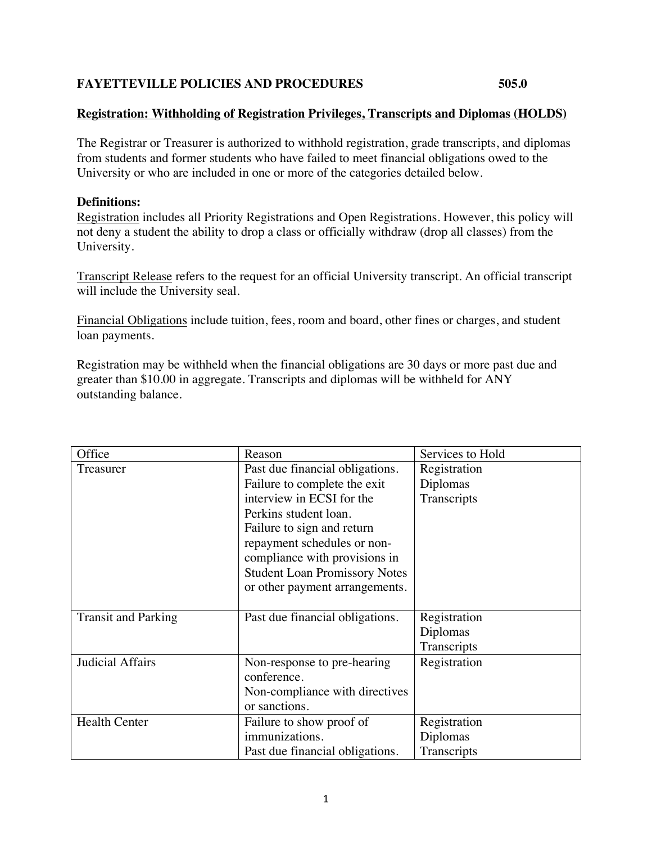## **FAYETTEVILLE POLICIES AND PROCEDURES 505.0**

## **Registration: Withholding of Registration Privileges, Transcripts and Diplomas (HOLDS)**

The Registrar or Treasurer is authorized to withhold registration, grade transcripts, and diplomas from students and former students who have failed to meet financial obligations owed to the University or who are included in one or more of the categories detailed below.

## **Definitions:**

Registration includes all Priority Registrations and Open Registrations. However, this policy will not deny a student the ability to drop a class or officially withdraw (drop all classes) from the University.

Transcript Release refers to the request for an official University transcript. An official transcript will include the University seal.

Financial Obligations include tuition, fees, room and board, other fines or charges, and student loan payments.

Registration may be withheld when the financial obligations are 30 days or more past due and greater than \$10.00 in aggregate. Transcripts and diplomas will be withheld for ANY outstanding balance.

| Office                     | Reason                               | Services to Hold |
|----------------------------|--------------------------------------|------------------|
| Treasurer                  | Past due financial obligations.      | Registration     |
|                            | Failure to complete the exit         | Diplomas         |
|                            | interview in ECSI for the            | Transcripts      |
|                            | Perkins student loan.                |                  |
|                            | Failure to sign and return           |                  |
|                            | repayment schedules or non-          |                  |
|                            | compliance with provisions in        |                  |
|                            | <b>Student Loan Promissory Notes</b> |                  |
|                            | or other payment arrangements.       |                  |
|                            |                                      |                  |
| <b>Transit and Parking</b> | Past due financial obligations.      | Registration     |
|                            |                                      | Diplomas         |
|                            |                                      | Transcripts      |
| Judicial Affairs           | Non-response to pre-hearing          | Registration     |
|                            | conference.                          |                  |
|                            | Non-compliance with directives       |                  |
|                            | or sanctions.                        |                  |
| <b>Health Center</b>       | Failure to show proof of             | Registration     |
|                            | immunizations.                       | Diplomas         |
|                            | Past due financial obligations.      | Transcripts      |